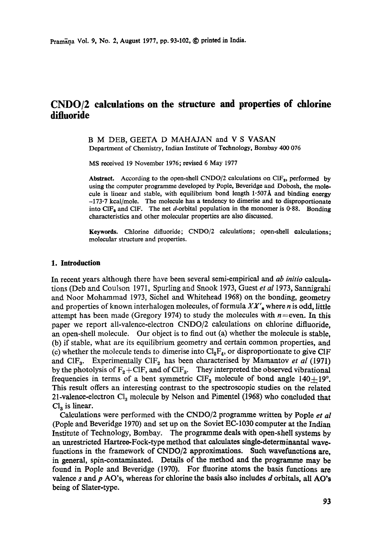## **CNDO/2 calculations on the structure and properties of chlorine difluoride**

## B M DEB, GEETA D MAHAJAN and V S VASAN Department of Chemistry, Indian Institute of Technology, Bombay 400 076

MS received 19 November 1976; revised 6 May 1977

**Abstract.** According to the open-shell CNDO/2 calculations on  $CIF_2$ , performed by using the computer programme developed by Pople, Beveridge and Dobosh, the molecule is linear and stable, with equilibrium bond length  $1.507\text{\AA}$  and binding energy -173-7 kcal/mole. The molecule has a tendency to dimerise and to disproportionate into ClF<sub>8</sub> and ClF. The net d-orbital population in the monomer is 0.88. Bonding characteristics and other molecular properties are also discussed.

Keywords. Chlorine difluoride; CNDO/2 calculations; open-shell calculations; molecular structure and properties.

### **1. Introduction**

In recent years although there have been several semi-empirical and *ab initio* calculations (Deb and Coulson 1971, Spurling and Snook 1973, Guest *et a11973,* Sannigrahi and Noor Mohammad 1973, Sichel and Whitehead 1968) on the bonding, geometry and properties of known interhalogen molecules, of formula  $XY'_{n}$  where n is odd, little attempt has been made (Gregory 1974) to study the molecules with  $n=$ even. In this paper we report all-valence-electron CNDO/2 calculations on chlorine difluoride, an open-shell molecule. Our object is to find out (a) whether the molecule is stable, (b) if stable, what are its equilibrium geometry and certain common properties, and (c) whether the molecule tends to dimerise into  $\text{Cl}_2\text{F}_4$ , or disproportionate to give CIF and ClF<sub>3</sub>. Experimentally ClF<sub>2</sub> has been characterised by Mamantov *et al* (1971) by the photolysis of  $F_2 + CIF$ , and of  $CIF_3$ . They interpreted the observed vibrational frequencies in terms of a bent symmetric CIF<sub>2</sub> molecule of bond angle 140 $+19^{\circ}$ . This result offers an interesting contrast to the spectroscopic studies on the related 21-valence-electron  $Cl_3$  molecule by Nelson and Pimentel (1968) who concluded that  $Cl<sub>3</sub>$  is linear.

Calculations were performed with the CNDO/2 programme written by Pople *et al*  (Pople and Beveridge 1970) and set up on the Soviet EC-1030 computer at the Indian Institute of Technology, Bombay. The programme deals with open-shell systems by an unrestricted Hartreo-Fock-type method that calculates single-determinantal wavefunctions in the framework of CNDO/2 approximations. Such wavefunctions are, in general, spin-contaminated. Details of the method and the programme may be found in Pople and Beveridge (1970). For fluorine atoms the basis functions **are**  valence s and  $p$  AO's, whereas for chlorine the basis also includes d orbitals, all AO's being of Slater-type.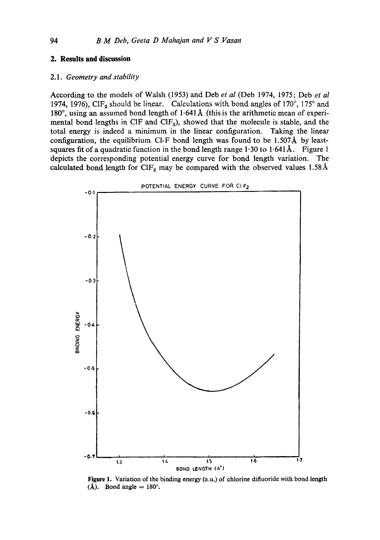## **2. Results and discussion**

#### 2.1. *Geometry and stability*

According to the models of Walsh (1953) and Deb *et al* (Deb 1974, 1975; Deb *et al*  1974, 1976), ClF<sub>2</sub> should be linear. Calculations with bond angles of 170 $^{\circ}$ , 175 $^{\circ}$  and 180°, using an assumed bond length of  $1.641\text{\AA}$  (this is the arithmetic mean of experimental bond lengths in CIF and  $CIF_3$ ), showed that the molecule is stable, and the total energy is indeed a minimum in the linear configuration. Taking the linear configuration, the equilibrium Cl-F bond length was found to be  $1.507\text{\AA}$  by leastsquares fit of a quadratic function in the bond length range  $1.30$  to  $1.641$  Å. Figure 1 depicts the corresponding potential energy curve for bond length variation. The calculated bond length for CIF<sub>2</sub> may be compared with the observed values 1.58Å



**Figure** I. Variation of the binding energy (a.u.) of chlorine difluoride with bond length (Å). Bond angle  $= 180^\circ$ .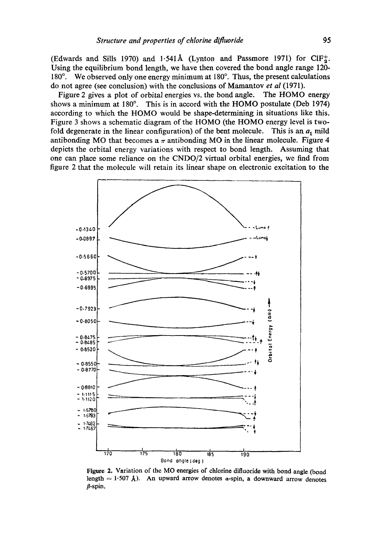(Edwards and Sills 1970) and 1.541 Å (Lynton and Passmore 1971) for CIF<sup> $+$ </sup>. Using the equilibrium bond length, we have then covered the bond angle range 120- 180 $\degree$ . We observed only one energy minimum at 180 $\degree$ . Thus, the present calculations do not agree (see conclusion) with the conclusions of Mamaatov *et al* (1971).

Figure 2 gives a plot of orbital energies vs. the bond angle. The HOMO energy shows a minimum at  $180^\circ$ . This is in accord with the HOMO postulate (Deb 1974) according to which the HOMO would be shape-determining in situations like this. Figure 3 shows a schematic diagram of the HOMO (the HOMO energy level is twofold degenerate in the linear configuration) of the bent molecule. This is an  $a_1$  mild antibonding MO that becomes a  $\pi$  antibonding MO in the linear molecule. Figure 4 depicts the orbital energy variations with respect to bond length. Assuming that one can place some reliance on the CNDO/2 virtual orbital energies, we find from figure 2 that the molecule will retain its linear shape on electronic excitation to the



Figure 2. Variation of the MO energies of chlorine difluoride with bond angle (bond length = 1.507 Å). An upward arrow denotes  $\alpha$ -spin, a downward arrow denotes  $\beta$ -spin.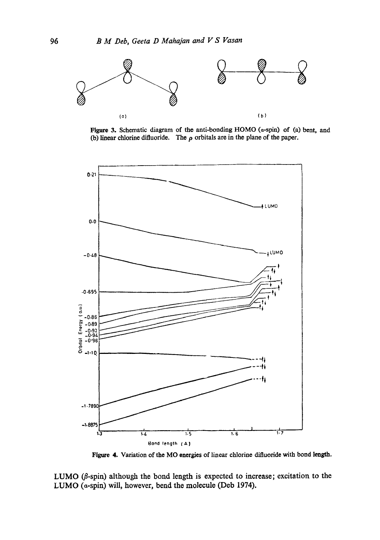

**Figure 3. Schematic diagram of the anti-bonding** HOMO (e-spin) of (a) **bent, and**  (b) **linear chlorine difluoride.** The  $\rho$  orbitals are in the plane of the paper.



**Figure 4. Variation of the MO energies of linear chlorine difluoride with bond length.** 

LUMO  $(\beta$ -spin) although the bond length is expected to increase; excitation to the **LUMO (a-spin) will, however, bend the molecule (Deb 1974).**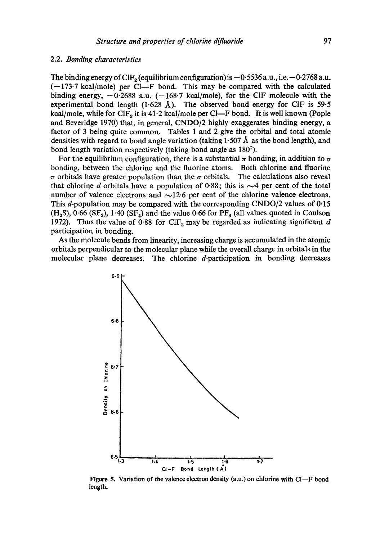### 2.2. *Bonding characteristics*

The binding energy of CIF<sub>2</sub> (equilibrium configuration) is  $-0.5536$  a.u., i.e.  $-0.2768$  a.u.  $(-173.7 \text{ kcal/mole})$  per Cl--F bond. This may be compared with the calculated binding energy,  $-0.2688$  a.u. ( $-168.7$  kcal/mole), for the CIF molecule with the experimental bond length (1.628 Å). The observed bond energy for CIF is 59.5 kcal/mole, while for CIF<sub>3</sub> it is 41.2 kcal/mole per Cl—F bond. It is well known (Pople and Beveridge 1970) that, in general, CNDO]2 highly exaggerates binding energy, a factor of 3 being quite common. Tables 1 and 2 give the orbital and total atomic densities with regard to bond angle variation (taking  $1.507 \text{ Å}$  as the bond length), and bond length variation respectively (taking bond angle as 180°).

For the equilibrium configuration, there is a substantial  $\pi$  bonding, in addition to  $\sigma$ bonding, between the chlorine and the fluorine atoms. Both chlorine and fluorine  $\pi$  orbitals have greater population than the  $\sigma$  orbitals. The calculations also reveal that chlorine d orbitals have a population of 0.88; this is  $\sim$ 4 per cent of the total number of valence electrons and  $\sim$ 12.6 per cent of the chlorine valence electrons. This d-population may be compared with the corresponding CNDO/2 values of  $0.15$  $(H<sub>2</sub>S)$ , 0.66 (SF<sub>2</sub>), 1.40 (SF<sub>4</sub>) and the value 0.66 for PF<sub>3</sub> (all values quoted in Coulson 1972). Thus the value of 0.88 for CIF<sub>2</sub> may be regarded as indicating significant d participation in bonding.

As the molecule bends from linearity, increasing charge is accumulated in the atomic orbitals perpendicular to the molecular plane while the overall charge in orbitals in the molecular plane decreases. The chlorine d-participation in bonding decreases



Figure 5. Variation of the valence electron density (a.u.) on chlorine with Cl-F bond **length.**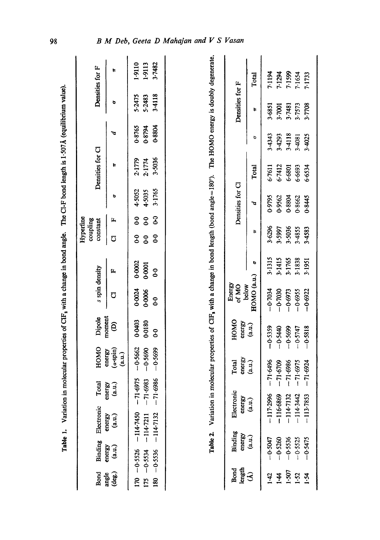|                          |                   |                  |                      |                                | Table 1. Variation in molecular properties of CIF, with a change in bond angle. |                          |                |                                   |              |                  |                  |        | The CI-F bond length is 1-507Å (equilibrium value). |                 |
|--------------------------|-------------------|------------------|----------------------|--------------------------------|---------------------------------------------------------------------------------|--------------------------|----------------|-----------------------------------|--------------|------------------|------------------|--------|-----------------------------------------------------|-----------------|
| <b>Bond</b>              | Binding           | Electronic       | <b>Cotal</b>         | HOMO                           | Dipole                                                                          | s spin density           |                | Hyperfine<br>coupling<br>constant |              |                  | Densities for Cl |        |                                                     | Densities for F |
| $(\text{deg.})$<br>angle | energy<br>(a.u.)  | energy<br>(a.u.) | energy<br>(a.u.)     | $(a-spin)$<br>energy<br>(a.u.) | moment<br>ê                                                                     | ō                        | 뜨              | ರ                                 | д,           | ь                | ŧ                | P      | ۰                                                   | ţ.              |
| <b>DLI</b>               | $-0.5526$         | $-114.7450$      | .6975<br>$\vec{r}$   | $-0.5662$                      | 0.0403                                                                          | 0.0024                   | 0.0002         | ٥.                                | ٥°           | 4.5052           | 2.1779           | 0.8765 | 5.2475                                              | 1.9110          |
| 175                      | $-0.5534$         | $-114.7211$      | $-71.6983$           | $-0.5690$                      | 0-0180                                                                          | 0.0006                   | 0-0001         | $\ddot{\circ}$                    | ٥,           | 4.5035           | 2.1774           | 0.8794 | 5.2483                                              | 1.9113          |
| 80                       | $-0.5536$         | $-114 - 7132$    | 6986<br>$\bar{5}$    | $-0.5699$                      | o.o                                                                             | $\ddot{\text{o}}$        | $\ddot{\circ}$ | $\ddot{\text{o}}$                 | $\mathbf{c}$ | 3.1765           | 3.5036           | 0.8804 | 3.4118                                              | 3-7482          |
| length<br><b>Bond</b>    | Binding<br>energy |                  | Electronic<br>energy | energy<br>Total                | HOMO<br>energy                                                                  | Energy<br>of MO<br>below |                |                                   |              | Densities for Cl |                  |        | Densities for F                                     |                 |
| ઉ                        | (a.u.)            |                  | (a.u.)               | (a.u.)                         | (a.u.)                                                                          | HOMO (a.u.)              | b              | Þ                                 |              | Þ                | Total            | ь      | Þ                                                   | Total           |
| 1.42                     | $-0.5047$         |                  | $-117.2996$          | $-71.6496$                     | $-0.5359$                                                                       | $-0.7034$                | 3.1315         | 3.6296                            |              | 0.9795           | 6.7611           | 3.4343 | 3-6851                                              | 7.1194          |
| $\ddot{4}$               | $-0.5260$         |                  | $-116.6869$          | $-71.6709$                     | $-0.5440$                                                                       | $-0.7030$                | 3.1415         | 3.5997                            |              | 0.9562           | 6.7412           | 3.4293 | 3.7001                                              | 7.1294          |
| 1.507                    | $-0.5536$         | $-114.7132$      |                      | $-71.6986$                     | $-0.5699$                                                                       | $-0.6973$                | 3.1765         | 3-5036                            |              | 0.8804           | 6.6801           | 3.4118 | 3.7481                                              | 7.1599          |
| 1.52                     | $-0.5525$         |                  | $-114.3442$          | $-71.6975$                     | $-0.5747$                                                                       | $-0.6955$                | 3.1838         | 3.4855                            |              | 0.8662           | 6.6693           | 3.4081 | 3.7573                                              | 7.1654          |
| 1.54                     | $-0.5475$         | $-113 - 7853$    |                      | $-71.6924$                     | $-0.5818$                                                                       | $-0.6922$                | 3.1951         | 3.4583                            |              | 0.8445           | 6.6534           | 3.4025 | 3.7708                                              | 7.1733          |

98

# B M Deb, Geeta D Mahajan and V S Vasan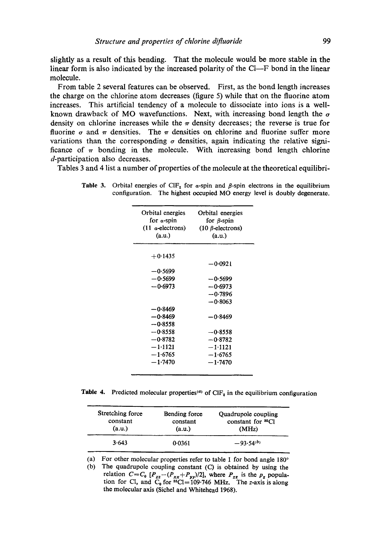slightly as a result of this bending. That the molecule would be more stable in the linear form is also indicated by the increased polarity of the CI--F bond in the linear molecule.

From table 2 several features can be observed. First, as the bond length increases the charge on the chlorine atom decreases (figure 5) while that on the fluorine atom increases. This artificial tendency of a molecule to dissociate into ions is a wellknown drawback of MO wavefunctions. Next, with increasing bond length the  $\sigma$ density on chlorine increases while the  $\pi$  density decreases; the reverse is true for fluorine  $\sigma$  and  $\pi$  densities. The  $\pi$  densities on chlorine and fluorine suffer more variations than the corresponding  $\sigma$  densities, again indicating the relative significance of  $\pi$  bonding in the molecule. With increasing bond length chlorine d-participation also decreases.

Tables 3 and 4 list a number of properties of the molecule at the theoretical equilibri-

| Orbital energies<br>for $\alpha$ -spin | Orbital energies<br>for $\beta$ -spin |
|----------------------------------------|---------------------------------------|
| $(11 \text{ a-electrons})$             | $(10 \beta$ -electrons)               |
| (a.u.)                                 | (a.u.)                                |
| $+0.1435$                              |                                       |
|                                        | $-0.0921$                             |
| $-0.5699$                              |                                       |
| $-0.5699$                              | $-0.5699$                             |
| $-0.6973$                              | $-0.6973$                             |
|                                        | $-0.7896$                             |
|                                        | $-0.8063$                             |
| —0∙8469                                |                                       |
| $-0.8469$                              | $-0.8469$                             |
| $-0.8558$                              |                                       |
| $-0.8558$                              | $-0.8558$                             |
| $-0.8782$                              | $-0.8782$                             |
| $-1.1121$                              | $-1.1121$                             |
| $-1.6765$                              | $-1.6765$                             |
| $-1.7470$                              | $-1.7470$                             |

**Table 3.** Orbital energies of CIF<sub>2</sub> for  $\alpha$ -spin and  $\beta$ -spin electrons in the equilibrium configuration. The highest occupied MO energy level is doubly degenerate.

**Table 4.** Predicted molecular properties<sup>(a)</sup> of CIF<sub>2</sub> in the equilibrium configuration

| Stretching force | Bending force | Quadrupole coupling           |
|------------------|---------------|-------------------------------|
| constant         | constant      | constant for <sup>35</sup> Cl |
| (a.u.)           | (a.u.)        | (MHz)                         |
| 3.643            | 0.0361        | $-93.54(b)$                   |

(a) For other molecular properties refer to table 1 for bond angle  $180^\circ$ 

(b) The quadrupole coupling constant (C) is obtained by using the relation  $C=C_0 [P_{zz}-(P_{xx}+P_{yy})/2]$ , where  $P_{zz}$  is the  $p_z$  population for Cl, and  $C_0$  for <sup>as</sup>Cl=109.746 MHz. The z-axis is along the molecular axis (Sichel and Whitehead 1968).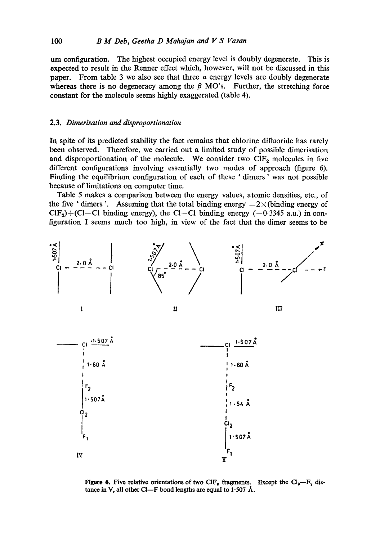um configuration. The highest occupied energy level is doubly degenerate. This is expected to result in the Renner effect which, however, will not be discussed in this paper. From table 3 we also see that three  $\alpha$  energy levels are doubly degenerate whereas there is no degeneracy among the  $\beta$  MO's. Further, the stretching force constant for the molecule seems highly exaggerated (table 4).

## 2.3. *Dimerisation and disproportionation*

In spite of its predicted stability the fact remains that chlorine difluoride has rarely been observed. Therefore, we carried out a limited study of possible dimerisation and disproportionation of the molecule. We consider two  $CIF<sub>2</sub>$  molecules in five different configurations involving essentially two modes of approach (figure 6). Finding the equilibrium configuration of each of these ' dimers ' was not possible because of limitations on computer time.

Table 5 makes a comparison between the energy values, atomic densities, etc., of the five ' dimers'. Assuming that the total binding energy  $=2 \times$  (binding energy of  $CIF_2$ +(Cl–Cl binding energy), the Cl–Cl binding energy (-0.3345 a.u.) in configuration I seems much too high, in view of the fact that the dimer seems to be



Figure 6. Five relative orientations of two CIF<sub>2</sub> fragments. Except the Cl<sub>2</sub>—F<sub>2</sub> distance in V, all other Cl- $-F$  bond lengths are equal to 1.507 Å.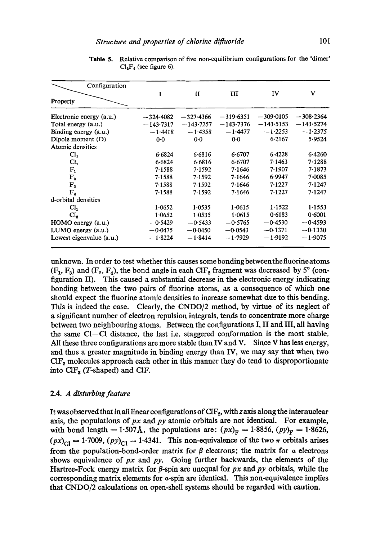| Configuration            |                |                |             |             |             |
|--------------------------|----------------|----------------|-------------|-------------|-------------|
|                          | T              | п              | Ш           | IV          | v           |
| Property                 |                |                |             |             |             |
| Electronic energy (a.u.) | $-324.4082$    | $-327.4366$    | $-319.6351$ | $-309.0105$ | $-308.2364$ |
| Total energy (a.u.)      | $-143.7317$    | $-143.7257$    | $-143.7376$ | $-143.5153$ | $-143.5274$ |
| Binding energy (a.u.)    | $-1.4418$      | $-1.4358$      | $-1.4477$   | $-1.2253$   | $-1.2375$   |
| Dipole moment (D)        | 0 <sub>0</sub> | 0 <sub>0</sub> | $0-0$       | 6.2167      | 5.9524      |
| Atomic densities         |                |                |             |             |             |
| Cl <sub>1</sub>          | 6.6824         | 6.6816         | 6.6707      | 6.4228      | 6.4260      |
| Cl <sub>3</sub>          | 6.6824         | 6.6816         | 6.6707      | 7.1463      | 7.1288      |
| $F_{1}$                  | 7.1588         | 7.1592         | 7.1646      | 7.1907      | 7.1873      |
| $F_{2}$                  | 7.1588         | 7.1592         | 7.1646      | 6.9947      | 7.0085      |
| $F_{3}$                  | 7.1588         | 7.1592         | 7.1646      | 7.1227      | 7.1247      |
| $F_{4}$                  | 7.1588         | 7.1592         | 7.1646      | 7.1227      | 7.1247      |
| d-orbital densities      |                |                |             |             |             |
| Cl,                      | 1.0652         | 1.0535         | 1.0615      | 1.1522      | 1.1553      |
| Cl <sub>2</sub>          | 1.0652         | 1.0535         | 1.0615      | 0.6183      | 0.6001      |
| HOMO energy (a.u.)       | $-0.5429$      | $-0.5433$      | $-0.5765$   | $-0.4530$   | $-0.4593$   |
| LUMO energy $(a.u.)$     | $-0.0475$      | $-0.0450$      | $-0.0543$   | $-0.1371$   | $-0.1330$   |
| Lowest eigenvalue (a.u.) | $-1.8224$      | $-1.8414$      | $-1.7929$   | $-1.9192$   | $-1.9075$   |

**Table 5. Relative comparison of five non-equilibrium configurations for the 'dimer' C12F4 (see figure** 6).

**unknown. In order to test whether this causes somebondingbetweenthefluorineatoms**   $(F_1, F_3)$  and  $(F_2, F_4)$ , the bond angle in each CIF<sub>2</sub> fragment was decreased by 5<sup>°</sup> (con**figuration II). This caused a substantial decrease in the electronic energy indicating bonding between the two pairs of fluorine atoms, as a consequence of which one should expect the fluorine atomic densities to increase somewhat due to this bending. This is indeed the case. Clearly, the CNDO/2 method, by virtue of its neglect of a significant number of electron repulsion integrals, tends to concentrate more charge between two neighbouring atoms. Between the configurations I, II and III, all having the same** *C1--C1* **distance, the Iast i.e. staggered conformation is the most stable. All these three configurations are more stable than IV and V. Since V has less energy, and thus a greater magnitude in binding energy than IV, we may say that when two C1Fe molecules approach each other in this manner they do tend to disproportionate**  into ClF<sub>3</sub> (T-shaped) and ClF.

## 2.4. *A disturbing feature*

It was observed that in all linear configurations of ClF<sub>2</sub>, with z axis along the internuclear **axis, the populations of** *px and py* **atomic orbitals are not identical. For example,**  with bond length = 1.507Å, the populations are:  $(px)_{F} = 1.8856$ ,  $(py)_{F} = 1.8626$ ,  $(px)_{\text{Cl}} = 1.7009, (py)_{\text{Cl}} = 1.4341.$  This non-equivalence of the two  $\pi$  orbitals arises from the population-bond-order matrix for  $\beta$  electrons; the matrix for  $\alpha$  electrons **shows equivalence of** *px and py.* **Going further backwards, the elements of the**  Hartree-Fock energy matrix for  $\beta$ -spin are unequal for  $px$  and  $py$  orbitals, while the **corresponding matrix elements for a-spin are identical. This non-equivalence implies that CNDO/2 calculations on open-shell systems should be regarded with caution.**